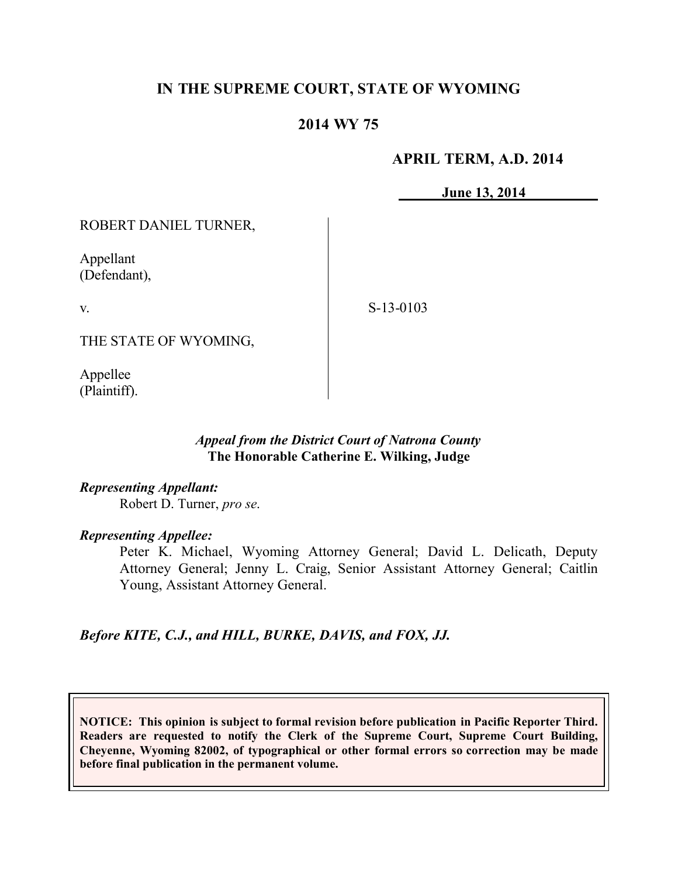## **IN THE SUPREME COURT, STATE OF WYOMING**

### **2014 WY 75**

#### **APRIL TERM, A.D. 2014**

**June 13, 2014**

ROBERT DANIEL TURNER,

Appellant (Defendant),

v.

S-13-0103

THE STATE OF WYOMING,

Appellee (Plaintiff).

#### *Appeal from the District Court of Natrona County* **The Honorable Catherine E. Wilking, Judge**

#### *Representing Appellant:*

Robert D. Turner, *pro se*.

#### *Representing Appellee:*

Peter K. Michael, Wyoming Attorney General; David L. Delicath, Deputy Attorney General; Jenny L. Craig, Senior Assistant Attorney General; Caitlin Young, Assistant Attorney General.

*Before KITE, C.J., and HILL, BURKE, DAVIS, and FOX, JJ.*

**NOTICE: This opinion is subject to formal revision before publication in Pacific Reporter Third. Readers are requested to notify the Clerk of the Supreme Court, Supreme Court Building, Cheyenne, Wyoming 82002, of typographical or other formal errors so correction may be made before final publication in the permanent volume.**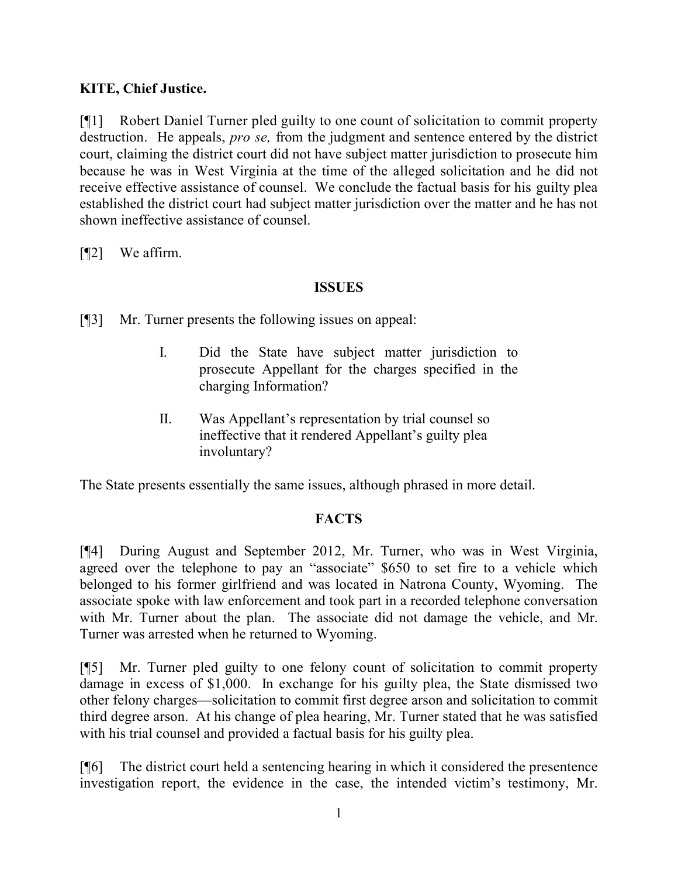### **KITE, Chief Justice.**

[¶1] Robert Daniel Turner pled guilty to one count of solicitation to commit property destruction. He appeals, *pro se,* from the judgment and sentence entered by the district court, claiming the district court did not have subject matter jurisdiction to prosecute him because he was in West Virginia at the time of the alleged solicitation and he did not receive effective assistance of counsel. We conclude the factual basis for his guilty plea established the district court had subject matter jurisdiction over the matter and he has not shown ineffective assistance of counsel.

[¶2] We affirm.

## **ISSUES**

[¶3] Mr. Turner presents the following issues on appeal:

- I. Did the State have subject matter jurisdiction to prosecute Appellant for the charges specified in the charging Information?
- II. Was Appellant's representation by trial counsel so ineffective that it rendered Appellant's guilty plea involuntary?

The State presents essentially the same issues, although phrased in more detail.

# **FACTS**

[¶4] During August and September 2012, Mr. Turner, who was in West Virginia, agreed over the telephone to pay an "associate" \$650 to set fire to a vehicle which belonged to his former girlfriend and was located in Natrona County, Wyoming. The associate spoke with law enforcement and took part in a recorded telephone conversation with Mr. Turner about the plan. The associate did not damage the vehicle, and Mr. Turner was arrested when he returned to Wyoming.

[¶5] Mr. Turner pled guilty to one felony count of solicitation to commit property damage in excess of \$1,000. In exchange for his guilty plea, the State dismissed two other felony charges—solicitation to commit first degree arson and solicitation to commit third degree arson. At his change of plea hearing, Mr. Turner stated that he was satisfied with his trial counsel and provided a factual basis for his guilty plea.

[¶6] The district court held a sentencing hearing in which it considered the presentence investigation report, the evidence in the case, the intended victim's testimony, Mr.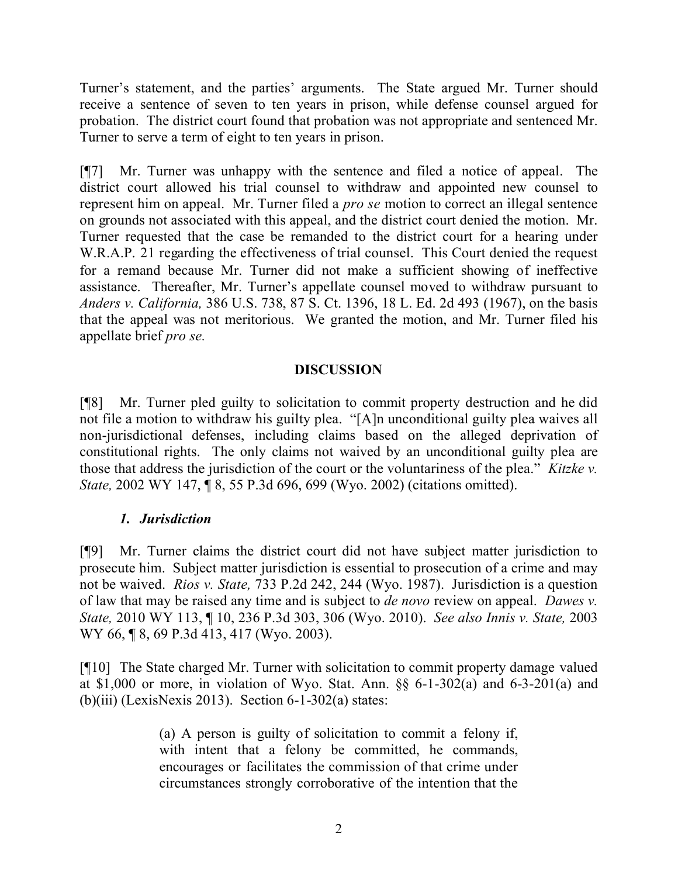Turner's statement, and the parties' arguments. The State argued Mr. Turner should receive a sentence of seven to ten years in prison, while defense counsel argued for probation. The district court found that probation was not appropriate and sentenced Mr. Turner to serve a term of eight to ten years in prison.

[¶7] Mr. Turner was unhappy with the sentence and filed a notice of appeal. The district court allowed his trial counsel to withdraw and appointed new counsel to represent him on appeal. Mr. Turner filed a *pro se* motion to correct an illegal sentence on grounds not associated with this appeal, and the district court denied the motion. Mr. Turner requested that the case be remanded to the district court for a hearing under W.R.A.P. 21 regarding the effectiveness of trial counsel. This Court denied the request for a remand because Mr. Turner did not make a sufficient showing of ineffective assistance. Thereafter, Mr. Turner's appellate counsel moved to withdraw pursuant to *Anders v. California,* 386 U.S. 738, 87 S. Ct. 1396, 18 L. Ed. 2d 493 (1967), on the basis that the appeal was not meritorious. We granted the motion, and Mr. Turner filed his appellate brief *pro se.* 

### **DISCUSSION**

[¶8] Mr. Turner pled guilty to solicitation to commit property destruction and he did not file a motion to withdraw his guilty plea. "[A]n unconditional guilty plea waives all non-jurisdictional defenses, including claims based on the alleged deprivation of constitutional rights. The only claims not waived by an unconditional guilty plea are those that address the jurisdiction of the court or the voluntariness of the plea." *Kitzke v. State,* 2002 WY 147, ¶ 8, 55 P.3d 696, 699 (Wyo. 2002) (citations omitted).

### *1. Jurisdiction*

[¶9] Mr. Turner claims the district court did not have subject matter jurisdiction to prosecute him. Subject matter jurisdiction is essential to prosecution of a crime and may not be waived. *Rios v. State,* 733 P.2d 242, 244 (Wyo. 1987). Jurisdiction is a question of law that may be raised any time and is subject to *de novo* review on appeal. *Dawes v. State,* 2010 WY 113, ¶ 10, 236 P.3d 303, 306 (Wyo. 2010). *See also Innis v. State,* 2003 WY 66, ¶ 8, 69 P.3d 413, 417 (Wyo. 2003).

[¶10] The State charged Mr. Turner with solicitation to commit property damage valued at \$1,000 or more, in violation of Wyo. Stat. Ann. §§ 6-1-302(a) and 6-3-201(a) and (b)(iii) (LexisNexis 2013). Section  $6-1-302(a)$  states:

> (a) A person is guilty of solicitation to commit a felony if, with intent that a felony be committed, he commands, encourages or facilitates the commission of that crime under circumstances strongly corroborative of the intention that the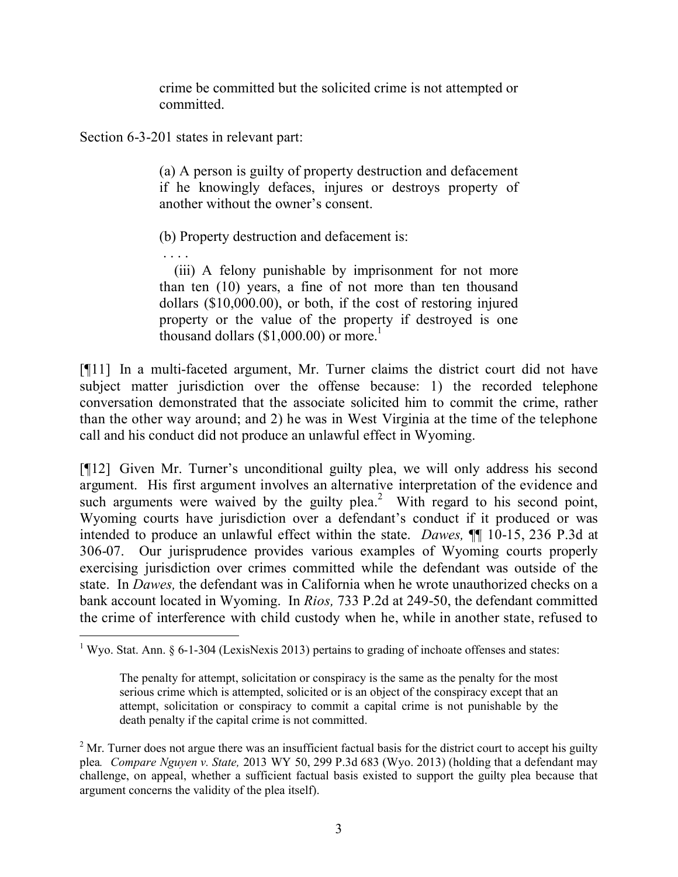crime be committed but the solicited crime is not attempted or committed.

Section 6-3-201 states in relevant part:

(a) A person is guilty of property destruction and defacement if he knowingly defaces, injures or destroys property of another without the owner's consent.

(b) Property destruction and defacement is:

. . . . (iii) A felony punishable by imprisonment for not more than ten (10) years, a fine of not more than ten thousand dollars (\$10,000.00), or both, if the cost of restoring injured property or the value of the property if destroyed is one

thousand dollars  $(\$1,000,00)$  or more.<sup>1</sup> [¶11] In a multi-faceted argument, Mr. Turner claims the district court did not have

subject matter jurisdiction over the offense because: 1) the recorded telephone conversation demonstrated that the associate solicited him to commit the crime, rather than the other way around; and 2) he was in West Virginia at the time of the telephone call and his conduct did not produce an unlawful effect in Wyoming.

[¶12] Given Mr. Turner's unconditional guilty plea, we will only address his second argument. His first argument involves an alternative interpretation of the evidence and such arguments were waived by the guilty plea.<sup>2</sup> With regard to his second point, Wyoming courts have jurisdiction over a defendant's conduct if it produced or was intended to produce an unlawful effect within the state. *Dawes,* ¶¶ 10-15, 236 P.3d at 306-07. Our jurisprudence provides various examples of Wyoming courts properly exercising jurisdiction over crimes committed while the defendant was outside of the state. In *Dawes,* the defendant was in California when he wrote unauthorized checks on a bank account located in Wyoming. In *Rios,* 733 P.2d at 249-50, the defendant committed the crime of interference with child custody when he, while in another state, refused to

 <sup>1</sup> Wyo. Stat. Ann. § 6-1-304 (LexisNexis 2013) pertains to grading of inchoate offenses and states:

The penalty for attempt, solicitation or conspiracy is the same as the penalty for the most serious crime which is attempted, solicited or is an object of the conspiracy except that an attempt, solicitation or conspiracy to commit a capital crime is not punishable by the death penalty if the capital crime is not committed.

 $2^2$  Mr. Turner does not argue there was an insufficient factual basis for the district court to accept his guilty plea*. Compare Nguyen v. State,* 2013 WY 50, 299 P.3d 683 (Wyo. 2013) (holding that a defendant may challenge, on appeal, whether a sufficient factual basis existed to support the guilty plea because that argument concerns the validity of the plea itself).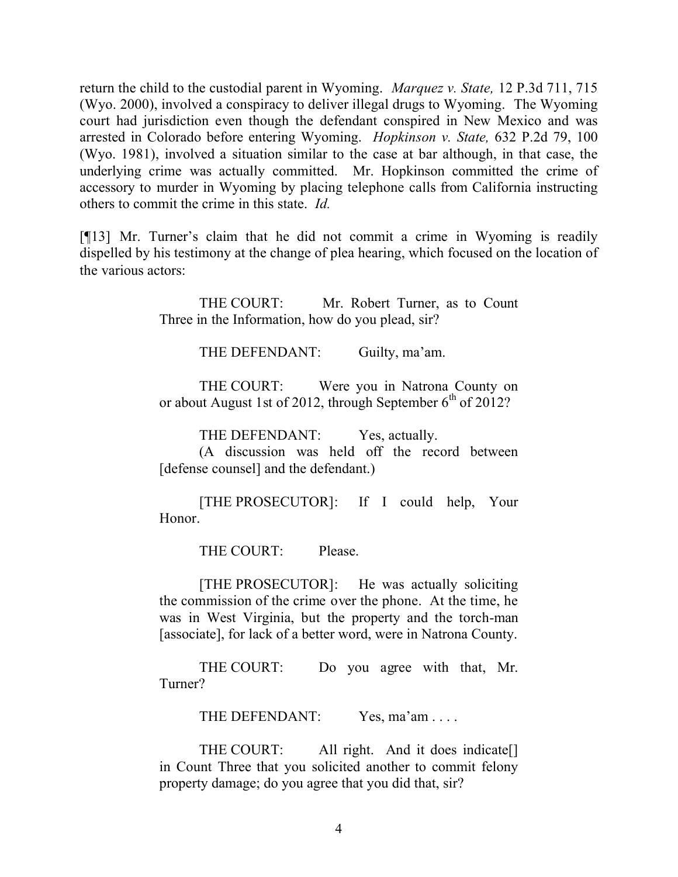return the child to the custodial parent in Wyoming. *Marquez v. State,* 12 P.3d 711, 715 (Wyo. 2000), involved a conspiracy to deliver illegal drugs to Wyoming. The Wyoming court had jurisdiction even though the defendant conspired in New Mexico and was arrested in Colorado before entering Wyoming. *Hopkinson v. State,* 632 P.2d 79, 100 (Wyo. 1981), involved a situation similar to the case at bar although, in that case, the underlying crime was actually committed. Mr. Hopkinson committed the crime of accessory to murder in Wyoming by placing telephone calls from California instructing others to commit the crime in this state. *Id.* 

[¶13] Mr. Turner's claim that he did not commit a crime in Wyoming is readily dispelled by his testimony at the change of plea hearing, which focused on the location of the various actors:

> THE COURT: Mr. Robert Turner, as to Count Three in the Information, how do you plead, sir?

> > THE DEFENDANT: Guilty, ma'am.

THE COURT: Were you in Natrona County on or about August 1st of 2012, through September  $6<sup>th</sup>$  of 2012?

THE DEFENDANT: Yes, actually.

(A discussion was held off the record between [defense counsel] and the defendant.)

[THE PROSECUTOR]: If I could help, Your Honor.

THE COURT: Please.

[THE PROSECUTOR]: He was actually soliciting the commission of the crime over the phone. At the time, he was in West Virginia, but the property and the torch-man [associate], for lack of a better word, were in Natrona County.

THE COURT: Do you agree with that, Mr. Turner?

THE DEFENDANT: Yes, ma'am . . . .

THE COURT: All right. And it does indicate. in Count Three that you solicited another to commit felony property damage; do you agree that you did that, sir?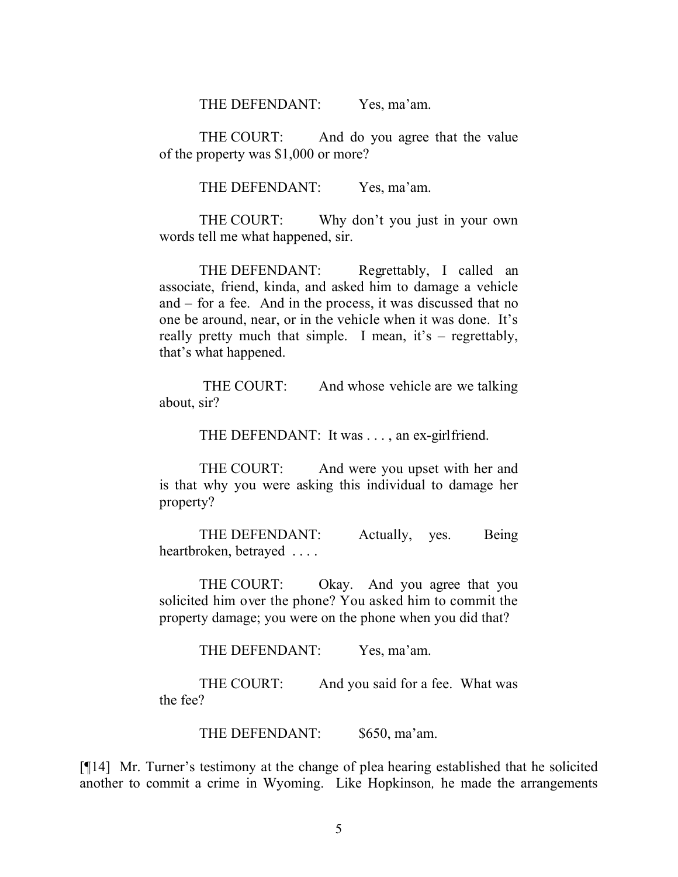THE DEFENDANT: Yes, ma'am.

THE COURT: And do you agree that the value of the property was \$1,000 or more?

THE DEFENDANT: Yes, ma'am.

THE COURT: Why don't you just in your own words tell me what happened, sir.

THE DEFENDANT: Regrettably, I called an associate, friend, kinda, and asked him to damage a vehicle and – for a fee. And in the process, it was discussed that no one be around, near, or in the vehicle when it was done. It's really pretty much that simple. I mean, it's – regrettably, that's what happened.

THE COURT: And whose vehicle are we talking about, sir?

THE DEFENDANT: It was . . . , an ex-girlfriend.

THE COURT: And were you upset with her and is that why you were asking this individual to damage her property?

THE DEFENDANT: Actually, yes. Being heartbroken, betrayed . . . .

THE COURT: Okay. And you agree that you solicited him over the phone? You asked him to commit the property damage; you were on the phone when you did that?

THE DEFENDANT: Yes, ma'am.

THE COURT: And you said for a fee. What was the fee?

THE DEFENDANT: \$650, ma'am.

[¶14] Mr. Turner's testimony at the change of plea hearing established that he solicited another to commit a crime in Wyoming. Like Hopkinson*,* he made the arrangements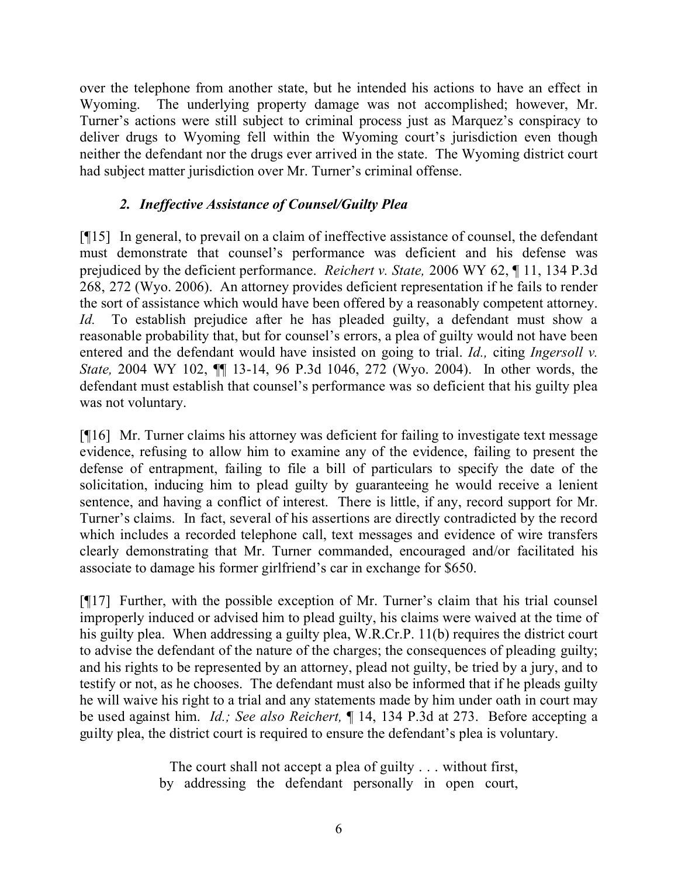over the telephone from another state, but he intended his actions to have an effect in Wyoming. The underlying property damage was not accomplished; however, Mr. Turner's actions were still subject to criminal process just as Marquez's conspiracy to deliver drugs to Wyoming fell within the Wyoming court's jurisdiction even though neither the defendant nor the drugs ever arrived in the state. The Wyoming district court had subject matter jurisdiction over Mr. Turner's criminal offense.

# *2. Ineffective Assistance of Counsel/Guilty Plea*

[¶15] In general, to prevail on a claim of ineffective assistance of counsel, the defendant must demonstrate that counsel's performance was deficient and his defense was prejudiced by the deficient performance. *Reichert v. State,* 2006 WY 62, ¶ 11, 134 P.3d 268, 272 (Wyo. 2006). An attorney provides deficient representation if he fails to render the sort of assistance which would have been offered by a reasonably competent attorney. *Id.* To establish prejudice after he has pleaded guilty, a defendant must show a reasonable probability that, but for counsel's errors, a plea of guilty would not have been entered and the defendant would have insisted on going to trial. *Id.,* citing *Ingersoll v. State,* 2004 WY 102, ¶¶ 13-14, 96 P.3d 1046, 272 (Wyo. 2004). In other words, the defendant must establish that counsel's performance was so deficient that his guilty plea was not voluntary.

[¶16] Mr. Turner claims his attorney was deficient for failing to investigate text message evidence, refusing to allow him to examine any of the evidence, failing to present the defense of entrapment, failing to file a bill of particulars to specify the date of the solicitation, inducing him to plead guilty by guaranteeing he would receive a lenient sentence, and having a conflict of interest. There is little, if any, record support for Mr. Turner's claims. In fact, several of his assertions are directly contradicted by the record which includes a recorded telephone call, text messages and evidence of wire transfers clearly demonstrating that Mr. Turner commanded, encouraged and/or facilitated his associate to damage his former girlfriend's car in exchange for \$650.

[¶17] Further, with the possible exception of Mr. Turner's claim that his trial counsel improperly induced or advised him to plead guilty, his claims were waived at the time of his guilty plea. When addressing a guilty plea, W.R.Cr.P. 11(b) requires the district court to advise the defendant of the nature of the charges; the consequences of pleading guilty; and his rights to be represented by an attorney, plead not guilty, be tried by a jury, and to testify or not, as he chooses. The defendant must also be informed that if he pleads guilty he will waive his right to a trial and any statements made by him under oath in court may be used against him. *Id.; See also Reichert,* ¶ 14, 134 P.3d at 273. Before accepting a guilty plea, the district court is required to ensure the defendant's plea is voluntary.

> The court shall not accept a plea of guilty . . . without first, by addressing the defendant personally in open court,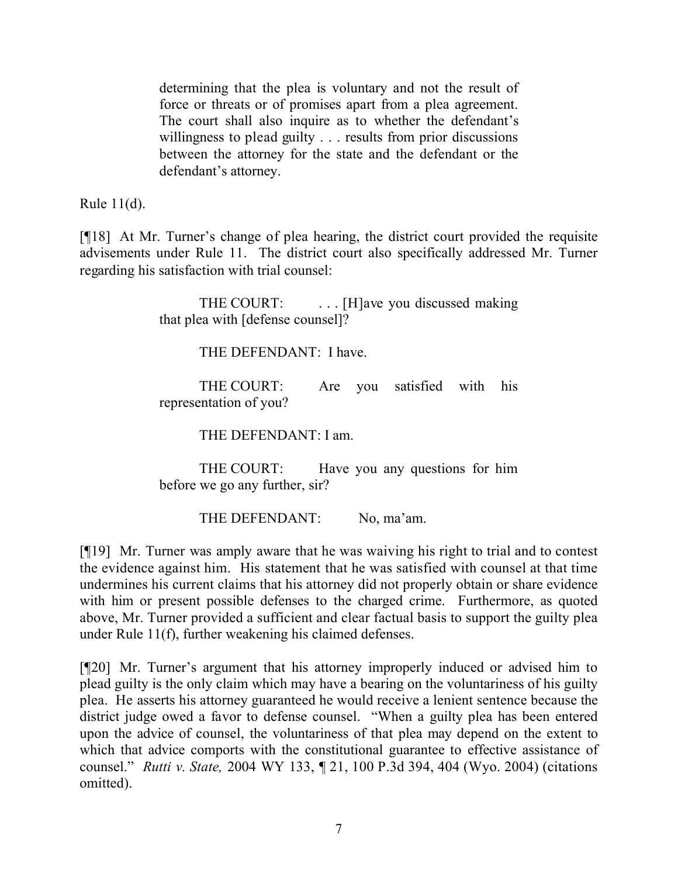determining that the plea is voluntary and not the result of force or threats or of promises apart from a plea agreement. The court shall also inquire as to whether the defendant's willingness to plead guilty . . . results from prior discussions between the attorney for the state and the defendant or the defendant's attorney.

Rule 11(d).

[¶18] At Mr. Turner's change of plea hearing, the district court provided the requisite advisements under Rule 11. The district court also specifically addressed Mr. Turner regarding his satisfaction with trial counsel:

> THE COURT: ... [H]ave you discussed making that plea with [defense counsel]?

> > THE DEFENDANT: I have.

THE COURT: Are you satisfied with his representation of you?

THE DEFENDANT: I am.

THE COURT: Have you any questions for him before we go any further, sir?

THE DEFENDANT: No, ma'am.

[¶19] Mr. Turner was amply aware that he was waiving his right to trial and to contest the evidence against him. His statement that he was satisfied with counsel at that time undermines his current claims that his attorney did not properly obtain or share evidence with him or present possible defenses to the charged crime. Furthermore, as quoted above, Mr. Turner provided a sufficient and clear factual basis to support the guilty plea under Rule 11(f), further weakening his claimed defenses.

[¶20] Mr. Turner's argument that his attorney improperly induced or advised him to plead guilty is the only claim which may have a bearing on the voluntariness of his guilty plea. He asserts his attorney guaranteed he would receive a lenient sentence because the district judge owed a favor to defense counsel. "When a guilty plea has been entered upon the advice of counsel, the voluntariness of that plea may depend on the extent to which that advice comports with the constitutional guarantee to effective assistance of counsel." *Rutti v. State,* 2004 WY 133, ¶ 21, 100 P.3d 394, 404 (Wyo. 2004) (citations omitted).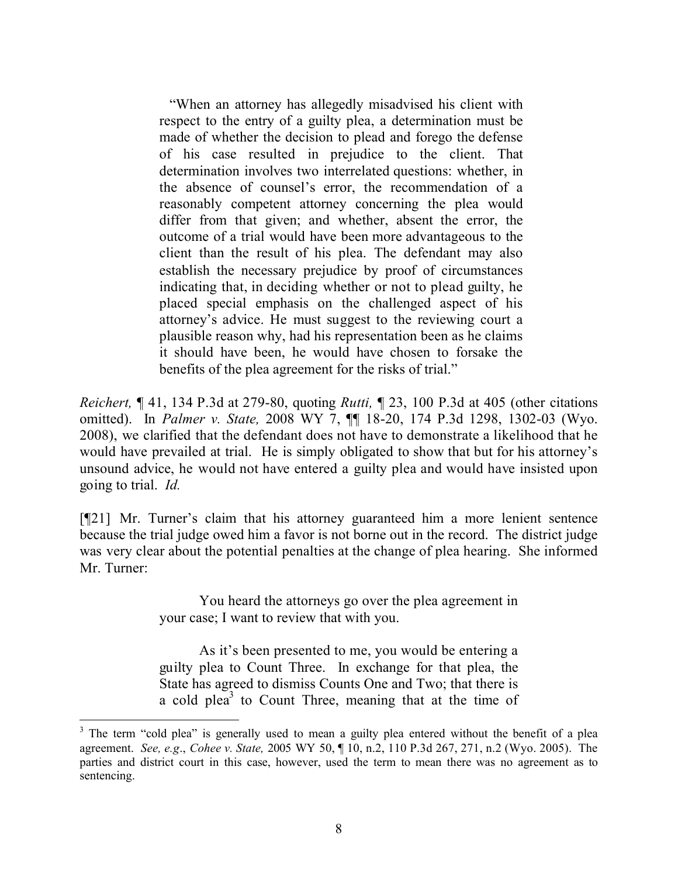"When an attorney has allegedly misadvised his client with respect to the entry of a guilty plea, a determination must be made of whether the decision to plead and forego the defense of his case resulted in prejudice to the client. That determination involves two interrelated questions: whether, in the absence of counsel's error, the recommendation of a reasonably competent attorney concerning the plea would differ from that given; and whether, absent the error, the outcome of a trial would have been more advantageous to the client than the result of his plea. The defendant may also establish the necessary prejudice by proof of circumstances indicating that, in deciding whether or not to plead guilty, he placed special emphasis on the challenged aspect of his attorney's advice. He must suggest to the reviewing court a plausible reason why, had his representation been as he claims it should have been, he would have chosen to forsake the benefits of the plea agreement for the risks of trial."

*Reichert,* ¶ 41, 134 P.3d at 279-80, quoting *Rutti,* ¶ 23, 100 P.3d at 405 (other citations omitted). In *Palmer v. State,* 2008 WY 7, ¶¶ 18-20, 174 P.3d 1298, 1302-03 (Wyo. 2008), we clarified that the defendant does not have to demonstrate a likelihood that he would have prevailed at trial. He is simply obligated to show that but for his attorney's unsound advice, he would not have entered a guilty plea and would have insisted upon going to trial. *Id.* 

[¶21] Mr. Turner's claim that his attorney guaranteed him a more lenient sentence because the trial judge owed him a favor is not borne out in the record. The district judge was very clear about the potential penalties at the change of plea hearing. She informed Mr. Turner:

> You heard the attorneys go over the plea agreement in your case; I want to review that with you.

> As it's been presented to me, you would be entering a guilty plea to Count Three. In exchange for that plea, the State has agreed to dismiss Counts One and Two; that there is a cold plea<sup>3</sup> to Count Three, meaning that at the time of

<sup>&</sup>lt;sup>3</sup> The term "cold plea" is generally used to mean a guilty plea entered without the benefit of a plea agreement. *See, e.g*., *Cohee v. State,* 2005 WY 50, ¶ 10, n.2, 110 P.3d 267, 271, n.2 (Wyo. 2005). The parties and district court in this case, however, used the term to mean there was no agreement as to sentencing.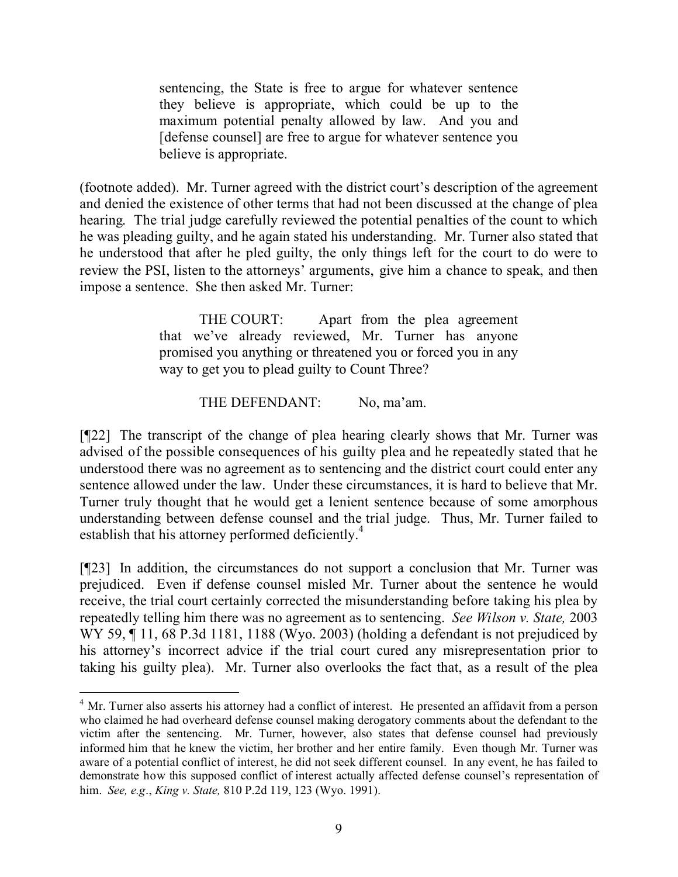sentencing, the State is free to argue for whatever sentence they believe is appropriate, which could be up to the maximum potential penalty allowed by law. And you and [defense counsel] are free to argue for whatever sentence you believe is appropriate.

(footnote added). Mr. Turner agreed with the district court's description of the agreement and denied the existence of other terms that had not been discussed at the change of plea hearing. The trial judge carefully reviewed the potential penalties of the count to which he was pleading guilty, and he again stated his understanding. Mr. Turner also stated that he understood that after he pled guilty, the only things left for the court to do were to review the PSI, listen to the attorneys' arguments, give him a chance to speak, and then impose a sentence. She then asked Mr. Turner:

> THE COURT: Apart from the plea agreement that we've already reviewed, Mr. Turner has anyone promised you anything or threatened you or forced you in any way to get you to plead guilty to Count Three?

> > THE DEFENDANT: No, ma'am.

[¶22] The transcript of the change of plea hearing clearly shows that Mr. Turner was advised of the possible consequences of his guilty plea and he repeatedly stated that he understood there was no agreement as to sentencing and the district court could enter any sentence allowed under the law. Under these circumstances, it is hard to believe that Mr. Turner truly thought that he would get a lenient sentence because of some amorphous understanding between defense counsel and the trial judge. Thus, Mr. Turner failed to establish that his attorney performed deficiently.<sup>4</sup>

[¶23] In addition, the circumstances do not support a conclusion that Mr. Turner was prejudiced. Even if defense counsel misled Mr. Turner about the sentence he would receive, the trial court certainly corrected the misunderstanding before taking his plea by repeatedly telling him there was no agreement as to sentencing. *See Wilson v. State,* 2003 WY 59, 11, 68 P.3d 1181, 1188 (Wyo. 2003) (holding a defendant is not prejudiced by his attorney's incorrect advice if the trial court cured any misrepresentation prior to taking his guilty plea). Mr. Turner also overlooks the fact that, as a result of the plea

 $\overline{a}$ 

<sup>&</sup>lt;sup>4</sup> Mr. Turner also asserts his attorney had a conflict of interest. He presented an affidavit from a person who claimed he had overheard defense counsel making derogatory comments about the defendant to the victim after the sentencing. Mr. Turner, however, also states that defense counsel had previously informed him that he knew the victim, her brother and her entire family. Even though Mr. Turner was aware of a potential conflict of interest, he did not seek different counsel. In any event, he has failed to demonstrate how this supposed conflict of interest actually affected defense counsel's representation of him. *See, e.g*., *King v. State,* 810 P.2d 119, 123 (Wyo. 1991).